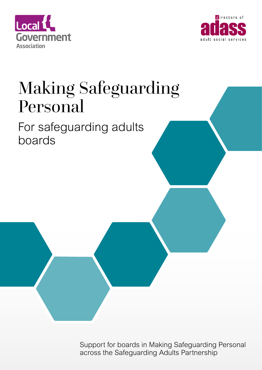



## Making Safeguarding Personal

For safeguarding adults boards

> Support for boards in Making Safeguarding Personal across the Safeguarding Adults Partnership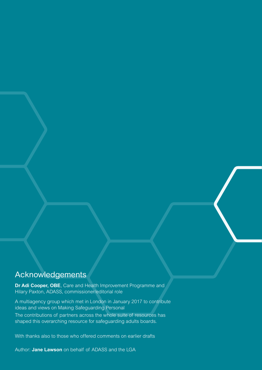## Acknowledgements

**Dr Adi Cooper, OBE**, Care and Health Improvement Programme and Hilary Paxton, ADASS, commissioner/editorial role

A multiagency group which met in London in January 2017 to contribute ideas and views on Making Safeguarding Personal

The contributions of partners across the whole suite of resources has shaped this overarching resource for safeguarding adults boards.

With thanks also to those who offered comments on earlier drafts

Author: **Jane Lawson** on behalf of ADASS and the LGA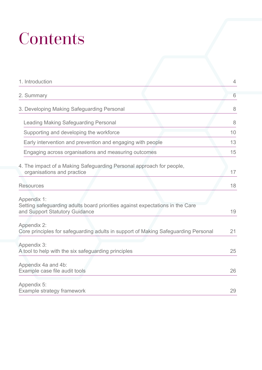## **Contents**

| 1. Introduction                                                                                                                | $\overline{4}$ |
|--------------------------------------------------------------------------------------------------------------------------------|----------------|
| 2. Summary                                                                                                                     | 6              |
| 3. Developing Making Safeguarding Personal                                                                                     | 8              |
| <b>Leading Making Safeguarding Personal</b>                                                                                    | 8              |
| Supporting and developing the workforce                                                                                        | 10             |
| Early intervention and prevention and engaging with people                                                                     | 13             |
| Engaging across organisations and measuring outcomes                                                                           | 15             |
| 4. The impact of a Making Safeguarding Personal approach for people,<br>organisations and practice                             | 17             |
| <b>Resources</b>                                                                                                               | 18             |
| Appendix 1:<br>Setting safeguarding adults board priorities against expectations in the Care<br>and Support Statutory Guidance | 19             |
| Appendix 2:<br>Core principles for safeguarding adults in support of Making Safeguarding Personal                              | 21             |
| Appendix 3:<br>A tool to help with the six safeguarding principles                                                             | 25             |
| Appendix 4a and 4b:<br>Example case file audit tools                                                                           | 26             |
| Appendix 5:<br>Example strategy framework                                                                                      | 29             |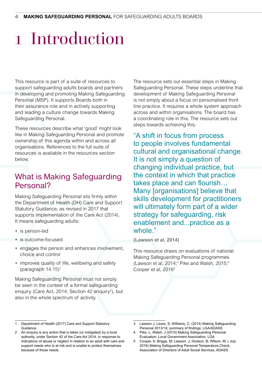## 1 Introduction

This resource is part of a suite of resources to support safeguarding adults boards and partners in developing and promoting Making Safeguarding Personal (MSP). It supports Boards both in their assurance role and in actively supporting and leading a culture change towards Making Safeguarding Personal.

These resources describe what 'good' might look like in Making Safeguarding Personal and promote ownership of this agenda within and across all organisations. References to the full suite of resources is available in the resources section below.

## What is Making Safeguarding Personal?

Making Safeguarding Personal sits firmly within the Department of Health (DH) Care and Support Statutory Guidance, as revised in 2017 that supports implementation of the Care Act (2014). It means safeguarding adults:

- is person-led
- is outcome-focused
- engages the person and enhances involvement, choice and control
- improves quality of life, wellbeing and safety (paragraph  $14.15$ )<sup>1</sup>

Making Safeguarding Personal must not simply be seen in the context of a formal safeguarding enquiry (Care Act, 2014, Section 42 enquiry<sup>2</sup>), but also in the whole spectrum of activity.

The resource sets out essential steps in Making Safeguarding Personal. These steps underline that development of Making Safeguarding Personal is not simply about a focus on personalised front line practice. It requires a whole system approach across and within organisations. The board has a coordinating role in this. The resource sets out steps towards achieving this.

"A shift in focus from process to people involves fundamental cultural and organisational change. It is not simply a question of changing individual practice, but the context in which that practice takes place and can flourish… Many [organisations] believe that skills development for practitioners will ultimately form part of a wider strategy for safeguarding, risk enablement and...practice as a whole."

**(Lawson et al, 2014)** 

This resource draws on evaluations of national Making Safeguarding Personal programmes. (Lawson et al, 2014;<sup>3</sup> Pike and Walsh, 2015;<sup>4</sup> Cooper et al, 2016<sup>5</sup>

Department of Health (2017) Care and Support Statutory **Guidance** 

<sup>2</sup> An enquiry is any action that is taken (or instigated) by a local authority, under Section 42 of the Care Act 2014, in response to indications of abuse or neglect in relation to an adult with care and support needs who is at risk and is unable to protect themselves because of those needs.

<sup>3</sup> Lawson J; Lewis, S; Williams, C; (2014) Making Safeguarding Personal 2013/14; summary of findings; LGA/ADASS

<sup>4</sup> Pike, L; Walsh, J (2015) Making Safeguarding Personal Evaluation; Local Government Association, LGA

<sup>5</sup> Cooper, A; Briggs, M; Lawson, J; Hodson, B; Wilson, M; ( July 2016) Making Safeguarding Personal Temperature Check, Association of Directors of Adult Social Services, ADASS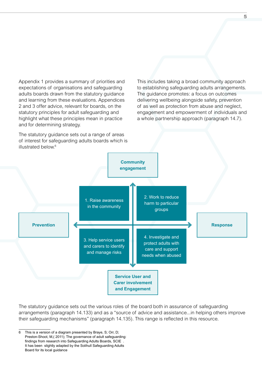Appendix 1 provides a summary of priorities and expectations of organisations and safeguarding adults boards drawn from the statutory guidance and learning from these evaluations. Appendices 2 and 3 offer advice, relevant for boards, on the statutory principles for adult safeguarding and highlight what these principles mean in practice and for determining strategy.

The statutory quidance sets out a range of areas of interest for safeguarding adults boards which is illustrated below.<sup>6</sup>

This includes taking a broad community approach to establishing safeguarding adults arrangements. The guidance promotes: a focus on outcomes delivering wellbeing alongside safety, prevention of as well as protection from abuse and neglect, engagement and empowerment of individuals and a whole partnership approach (paragraph 14.7).



The statutory guidance sets out the various roles of the board both in assurance of safeguarding arrangements (paragraph 14.133) and as a "source of advice and assistance...in helping others improve their safeguarding mechanisms" (paragraph 14.135). This range is reflected in this resource.

<sup>6</sup> This is a version of a diagram presented by Braye, S; Orr, D; Preston-Shoot, M,( 2011); The governance of adult safeguarding: findings from research into Safeguarding Adults Boards, SCIE . It has been slightly adapted by the Solihull Safeguarding Adults Board for its local guidance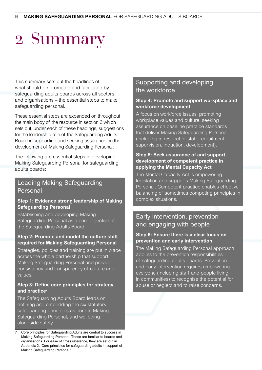## 2 Summary

This summary sets out the headlines of what should be promoted and facilitated by safeguarding adults boards across all sectors and organisations – the essential steps to make safeguarding personal.

These essential steps are expanded on throughout the main body of the resource in section 3 which sets out, under each of these headings, suggestions for the leadership role of the Safeguarding Adults Board in supporting and seeking assurance on the development of Making Safeguarding Personal.

The following are essential steps in developing Making Safeguarding Personal for safeguarding adults boards:

#### Leading Making Safeguarding Personal

#### **Step 1: Evidence strong leadership of Making Safeguarding Personal**

Establishing and developing Making Safeguarding Personal as a core objective of the Safeguarding Adults Board.

#### **Step 2: Promote and model the culture shift required for Making Safeguarding Personal**

Strategies, policies and training are put in place across the whole partnership that support Making Safeguarding Personal and provide consistency and transparency of culture and values.

#### **Step 3: Define core principles for strategy and practice7**

The Safeguarding Adults Board leads on defining and embedding the six statutory safeguarding principles as core to Making Safeguarding Personal, and wellbeing alongside safety.

#### Supporting and developing the workforce

#### **Step 4: Promote and support workplace and workforce development**

A focus on workforce issues, promoting workplace values and culture, seeking assurance on baseline practice standards that deliver Making Safeguarding Personal (including in respect of staff: recruitment, supervision, induction, development).

#### **Step 5: Seek assurance of and support development of competent practice in applying the Mental Capacity Act**

The Mental Capacity Act is empowering legislation and supports Making Safeguarding Personal. Competent practice enables effective balancing of sometimes competing principles in complex situations.

### Early intervention, prevention and engaging with people

#### **Step 6: Ensure there is a clear focus on prevention and early intervention**

The Making Safeguarding Personal approach applies to the prevention responsibilities of safeguarding adults boards. Prevention and early intervention requires empowering everyone (including staff and people living in communities) to recognise the potential for abuse or neglect and to raise concerns.

<sup>7</sup> Core principles for Safeguarding Adults are central to success in Making Safeguarding Personal. These are familiar to boards and organisations. For ease of cross reference, they are set out in Appendix 2: 'Core principles for safeguarding adults in support of Making Safeguarding Personal.'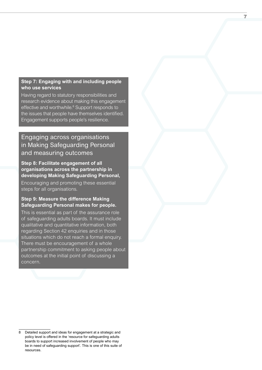#### **Step 7: Engaging with and including people who use services**

Having regard to statutory responsibilities and research evidence about making this engagement effective and worthwhile.<sup>8</sup> Support responds to the issues that people have themselves identified. Engagement supports people's resilience.

### Engaging across organisations in Making Safeguarding Personal and measuring outcomes

#### **Step 8: Facilitate engagement of all organisations across the partnership in developing Making Safeguarding Personal,**

Encouraging and promoting these essential steps for all organisations.

#### **Step 9: Measure the difference Making Safeguarding Personal makes for people.**

This is essential as part of the assurance role of safeguarding adults boards. It must include qualitative and quantitative information, both regarding Section 42 enquiries and in those situations which do not reach a formal enquiry. There must be encouragement of a whole partnership commitment to asking people about outcomes at the initial point of discussing a concern.

<sup>8</sup> Detailed support and ideas for engagement at a strategic and policy level is offered in the 'resource for safeguarding adults boards to support increased involvement of people who may be in need of safeguarding support'. This is one of this suite of resources.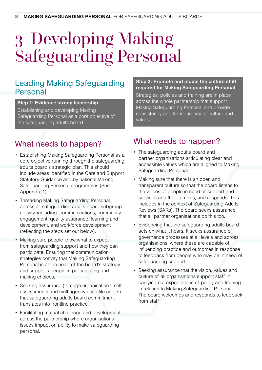## 3 Developing Making Safeguarding Personal

### Leading Making Safeguarding Personal

#### **Step 1: Evidence strong leadership**

Establishing and developing Making Safeguarding Personal as a core objective of the safeguarding adults board.

## What needs to happen?

- Establishing Making Safeguarding Personal as a core objective running through the safeguarding adults board's strategic plan. This should include areas identified in the Care and Support Statutory Guidance and by national Making Safeguarding Personal programmes (See Appendix 1).
- Threading Making Safeguarding Personal across all safeguarding adults board subgroup activity, including: communications, community engagement, quality assurance, learning and development, and workforce development (reflecting the steps set out below).
- Making sure people know what to expect from safeguarding support and how they can participate. Ensuring that communication strategies convey that Making Safeguarding Personal is at the heart of the board's strategy and supports people in participating and making choices.
- Seeking assurance (through organisational selfassessments and multiagency case file audits) that safeguarding adults board commitment translates into frontline practice.
- Facilitating mutual challenge and development across the partnership where organisational issues impact on ability to make safeguarding personal.

#### **Step 2: Promote and model the culture shift required for Making Safeguarding Personal**

Strategies, policies and training are in place across the whole partnership that support Making Safeguarding Personal and provide consistency and transparency of culture and values.

## What needs to happen?

- The safeguarding adults board and partner organisations articulating clear and accessible values which are aligned to Making Safeguarding Personal.
- Making sure that there is an open and transparent culture so that the board listens to the voices of people in need of support and services and their families, and responds. This includes in the context of Safeguarding Adults Reviews (SARs). The board seeks assurance that all partner organisations do this too.
- Evidencing that the safeguarding adults board acts on what it hears. It seeks assurance of governance processes at all levels and across organisations, where these are capable of influencing practice and outcomes in response to feedback from people who may be in need of safeguarding support.
- Seeking assurance that the vision, values and culture of all organisations support staff in carrying out expectations of policy and training in relation to Making Safeguarding Personal. The board welcomes and responds to feedback from staff.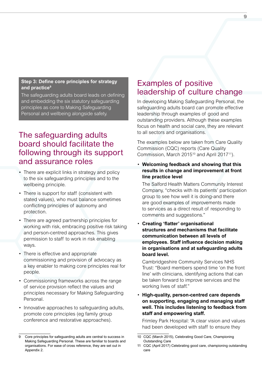#### **Step 3: Define core principles for strategy and practice9**

The safeguarding adults board leads on defining and embedding the six statutory safeguarding principles as core to Making Safeguarding Personal and wellbeing alongside safety.

## The safeguarding adults board should facilitate the following through its support and assurance roles

- There are explicit links in strategy and policy to the six safeguarding principles and to the wellbeing principle.
- There is support for staff (consistent with stated values), who must balance sometimes conflicting principles of autonomy and protection.
- There are agreed partnership principles for working with risk, embracing positive risk taking and person-centred approaches. This gives permission to staff to work in risk enabling ways.
- There is effective and appropriate commissioning and provision of advocacy as a key enabler to making core principles real for people.
- Commissioning frameworks across the range of service provision reflect the values and principles necessary for Making Safeguarding Personal.
- Innovative approaches to safeguarding adults, promote core principles (eg family group conference and restorative approaches).

### Examples of positive leadership of culture change

In developing Making Safeguarding Personal, the safeguarding adults board can promote effective leadership through examples of good and outstanding providers. Although these examples focus on health and social care, they are relevant to all sectors and organisations.

The examples below are taken from Care Quality Commission (CQC) reports (Care Quality Commission, March 2015<sup>10</sup> and April 2017<sup>11</sup>).

• **Welcoming feedback and showing that this results in change and improvement at front line practice level**

The Salford Health Matters Community Interest Company, "checks with its patients' participation group to see how well it is doing-and there are good examples of improvements made to services as a direct result of responding to comments and suggestions."

• **Creating 'flatter' organisational structures and mechanisms that facilitate communication between all levels of employees. Staff influence decision making in organisations and at safeguarding adults board level.**

Cambridgeshire Community Services NHS Trust: "Board members spend time 'on the front line' with clinicians, identifying actions that can be taken forward to improve services and the working lives of staff."

• **High-quality, person-centred care depends on supporting, engaging and managing staff well. This includes listening to feedback from staff and empowering staff.**

Frimley Park Hospital: "A clear vision and values had been developed with staff to ensure they

<sup>9</sup> Core principles for safeguarding adults are central to success in Making Safeguarding Personal. These are familiar to boards and organisations. For ease of cross reference, they are set out in Appendix 2.

<sup>10</sup> CQC (March 2015), Celebrating Good Care, Championing Outstanding Care

<sup>11</sup> CQC (April 2017) Celebrating good care, championing outstanding care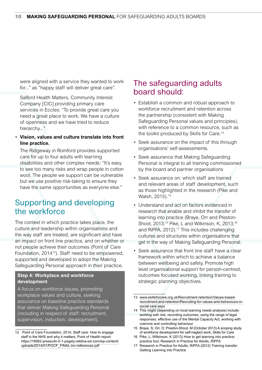were aligned with a service they wanted to work for..." as "happy staff will deliver great care".

Salford Health Matters, Community Interest Company [CIC] providing primary care services in Eccles: "To provide great care you need a great place to work. We have a culture of openness and we have tried to reduce hierarchy..."

#### • **Vision, values and culture translate into front line practice.**

The Ridgeway in Romford provides supported care for up to four adults with learning disabilities and other complex needs: "It's easy to see too many risks and wrap people in cotton wool. The people we support can be vulnerable but we use positive risk-taking to ensure they have the same opportunities as everyone else."

### Supporting and developing the workforce

The context in which practice takes place, the culture and leadership within organisations and the way staff are treated, are significant and have an impact on front line practice, and on whether or not people achieve their outcomes (Point of Care Foundation, 2014<sup>12</sup>). Staff need to be empowered, supported and developed to adopt the Making Safeguarding Personal approach in their practice.

#### **Step 4: Workplace and workforce development**

A focus on workforce issues, promoting workplace values and culture, seeking assurance on baseline practice standards that deliver Making Safeguarding Personal (including in respect of staff: recruitment, supervision, induction, development).

12 Point of Care Foundation, 2014; Staff care: How to engage staff in the NHS and why it matters, Point of Health report: [https://16682-presscdn-0-1-pagely.netdna-ssl.com/wp-content/](https://16682-presscdn-0-1-pagely.netdna-ssl.com/wp-content/uploads/2014/01/POCF_FINAL-inc-references.pdf) [uploads/2014/01/POCF\\_FINAL-inc-references.pdf](https://16682-presscdn-0-1-pagely.netdna-ssl.com/wp-content/uploads/2014/01/POCF_FINAL-inc-references.pdf)

### The safeguarding adults board should:

- Establish a common and robust approach to workforce recruitment and retention across the partnership (consistent with Making Safeguarding Personal values and principles), with reference to a common resource, such as the toolkit produced by Skills for Care.<sup>13</sup>
- Seek assurance on the impact of this through organisations' self-assessments.
- Seek assurance that Making Safeguarding Personal is integral to all training commissioned by the board and partner organisations
- Seek assurance on: which staff are trained and relevant areas of staff development, such as those highlighted in the research (Pike and Walsh, 2015).<sup>14</sup>
- Understand and act on factors evidenced in research that enable and inhibit the transfer of learning into practice (Braye, Orr and Preston-Shoot, 2013;<sup>15</sup> Pike, L and Wilkinson, K, 2013;<sup>16</sup> and RiPFA, 2012).<sup>17</sup> This includes challenging cultures and structures within organisations that get in the way of Making Safeguarding Personal.
- Seek assurance that front line staff have a clear framework within which to achieve a balance between wellbeing and safety. Promote high level organisational support for person-centred, outcomes focused working, linking training to strategic planning objectives.

<sup>13</sup> [www.skillsforcare.org.uk/Recruitment-retention/Values-based](http://www.skillsforcare.org.uk/Recruitment-retention/Values-based-recruitment-and-retention/Recruiting-for-values-and-behaviours-in-social-care.aspx)[recruitment-and-retention/Recruiting-for-values-and-behaviours-in](http://www.skillsforcare.org.uk/Recruitment-retention/Values-based-recruitment-and-retention/Recruiting-for-values-and-behaviours-in-social-care.aspx)[social-care.aspx](http://www.skillsforcare.org.uk/Recruitment-retention/Values-based-recruitment-and-retention/Recruiting-for-values-and-behaviours-in-social-care.aspx)

<sup>14</sup> This might (depending on local learning needs analysis) include: working with risk; recording outcomes; using the range of legal responses; effective use of the Mental Capacity Act; working with coercive and controlling behaviour

<sup>15</sup> Braye, S; Orr, D; Preston-Shoot, M (October 2013) A scoping study of workforce development for self-neglect work, Skills for Care

<sup>16</sup> Pike, L; Wilkinson, K (2013) How to get learning into practice: practice tool; Research in Practice for Adults, RiPFA

<sup>17</sup> Research in Practice for Adults, RiPFA (2012) Training transfer: Getting Learning into Practice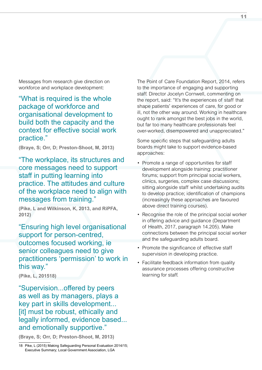Messages from research give direction on workforce and workplace development:

"What is required is the whole package of workforce and organisational development to build both the capacity and the context for effective social work practice."

**(Braye, S; Orr, D; Preston-Shoot, M, 2013)**

"The workplace, its structures and core messages need to support staff in putting learning into practice. The attitudes and culture of the workplace need to align with messages from training."

**(Pike, L and Wilkinson, K, 2013, and RiPFA, 2012)**

"Ensuring high level organisational support for person-centred, outcomes focused working, ie senior colleagues need to give practitioners 'permission' to work in this way."

**(Pike, L, 201518)**

"Supervision...offered by peers as well as by managers, plays a key part in skills development... [it] must be robust, ethically and legally informed, evidence based... and emotionally supportive."

**(Braye, S; Orr, D; Preston-Shoot, M, 2013)**

The Point of Care Foundation Report, 2014, refers to the importance of engaging and supporting staff. Director Jocelyn Cornwell, commenting on the report, said: "It's the experiences of staff that shape patients' experiences of care, for good or ill, not the other way around. Working in healthcare ought to rank amongst the best jobs in the world, but far too many healthcare professionals feel over-worked, disempowered and unappreciated."

Some specific steps that safeguarding adults boards might take to support evidence-based approaches:

- Promote a range of opportunities for staff development alongside training: practitioner forums; support from principal social workers, clinics, surgeries, complex case discussions; sitting alongside staff whilst undertaking audits to develop practice; identification of champions (increasingly these approaches are favoured above direct training courses).
- Recognise the role of the principal social worker in offering advice and guidance (Department of Health, 2017, paragraph 14.205). Make connections between the principal social worker and the safeguarding adults board.
- Promote the significance of effective staff supervision in developing practice.
- Facilitate feedback information from quality assurance processes offering constructive learning for staff.

<sup>18</sup> Pike, L (2015) Making Safeguarding Personal Evaluation 2014/15; Executive Summary; Local Government Association, LGA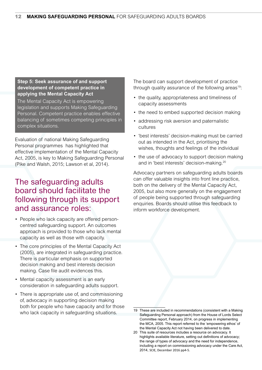#### **Step 5: Seek assurance of and support development of competent practice in applying the Mental Capacity Act**

The Mental Capacity Act is empowering legislation and supports Making Safeguarding Personal. Competent practice enables effective balancing of sometimes competing principles in complex situations.

Evaluation of national Making Safeguarding Personal programmes has highlighted that effective implementation of the Mental Capacity Act, 2005, is key to Making Safeguarding Personal (Pike and Walsh, 2015; Lawson et al, 2014).

## The safeguarding adults board should facilitate the following through its support and assurance roles:

- People who lack capacity are offered personcentred safeguarding support. An outcomes approach is provided to those who lack mental capacity as well as those with capacity.
- The core principles of the Mental Capacity Act (2005), are integrated in safeguarding practice. There is particular emphasis on supported decision making and best interests decision making. Case file audit evidences this.
- Mental capacity assessment is an early consideration in safeguarding adults support.
- There is appropriate use of, and commissioning of, advocacy in supporting decision making both for people who have capacity and for those who lack capacity in safeguarding situations.

The board can support development of practice through quality assurance of the following areas<sup>19</sup>:

- the quality, appropriateness and timeliness of capacity assessments
- the need to embed supported decision making
- addressing risk aversion and paternalistic cultures
- 'best interests' decision-making must be carried out as intended in the Act, prioritising the wishes, thoughts and feelings of the individual
- the use of advocacy to support decision making and in 'best interests' decision-making.20

Advocacy partners on safeguarding adults boards can offer valuable insights into front line practice, both on the delivery of the Mental Capacity Act, 2005, but also more generally on the engagement of people being supported through safeguarding enquiries. Boards should utilise this feedback to inform workforce development.

<sup>19</sup> These are included in recommendations (consistent with a Making Safeguarding Personal approach) from the House of Lords Select Committee report, February 2014, on progress in implementing the MCA, 2005. This report referred to the 'empowering ethos' of the Mental Capacity Act not having been delivered to date.

<sup>20</sup> This suite of resources includes a resource on advocacy. It highlights available literature, setting out definitions of advocacy; the range of types of advocacy and the need for independence, including a report on commissioning advocacy under the Care Act, 2014, SCIE, December 2016 pp4-5.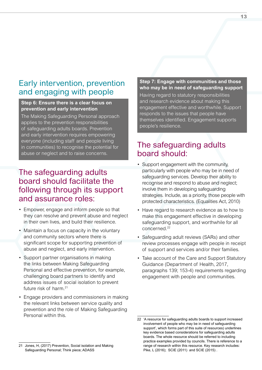### Early intervention, prevention and engaging with people

#### **Step 6: Ensure there is a clear focus on prevention and early intervention**

The Making Safeguarding Personal approach applies to the prevention responsibilities of safeguarding adults boards. Prevention and early intervention requires empowering everyone (including staff and people living in communities) to recognise the potential for abuse or neglect and to raise concerns.

## The safeguarding adults board should facilitate the following through its support and assurance roles:

- Empower, engage and inform people so that they can resolve and prevent abuse and neglect in their own lives, and build their resilience.
- Maintain a focus on capacity in the voluntary and community sectors where there is significant scope for supporting prevention of abuse and neglect, and early intervention.
- Support partner organisations in making the links between Making Safeguarding Personal and effective prevention, for example, challenging board partners to identify and address issues of social isolation to prevent future risk of harm.<sup>21</sup>
- Engage providers and commissioners in making the relevant links between service quality and prevention and the role of Making Safeguarding Personal within this.

Having regard to statutory responsibilities and research evidence about making this engagement effective and worthwhile. Support responds to the issues that people have themselves identified. Engagement supports people's resilience.

## The safeguarding adults board should:

- Support engagement with the community, particularly with people who may be in need of safeguarding services. Develop their ability to recognise and respond to abuse and neglect; involve them in developing safeguarding strategies. Include, as a priority, those people with protected characteristics. (Equalities Act, 2010)
- Have regard to research evidence as to how to make this engagement effective in developing safeguarding support, and worthwhile for all concerned<sup>22</sup>
- Safeguarding adult reviews (SARs) and other review processes engage with people in receipt of support and services and/or their families.
- Take account of the Care and Support Statutory Guidance (Department of Health, 2017, paragraphs 139; 153-4) requirements regarding engagement with people and communities.

**Step 7: Engage with communities and those who may be in need of safeguarding support** 

<sup>22</sup> 'A resource for safeguarding adults boards to support increased involvement of people who may be in need of safeguarding support', which forms part of this suite of resources) underlines key evidence based considerations for safeguarding adults boards. The whole resource should be referred to including practice examples provided by councils. There is reference to a range of research within this resource. Key research includes: Pike, L (2016); SCIE (2011) and SCIE (2015) .

<sup>21</sup> Jones, H, (2017) Prevention, Social isolation and Making Safeguarding Personal; Think piece; ADASS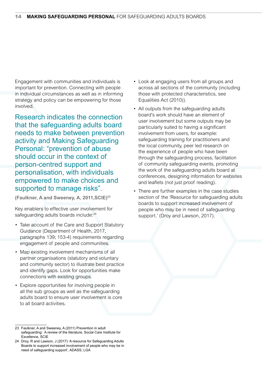Engagement with communities and individuals is important for prevention. Connecting with people in individual circumstances as well as in informing strategy and policy can be empowering for those involved.

Research indicates the connection that the safeguarding adults board needs to make between prevention activity and Making Safeguarding Personal: "prevention of abuse should occur in the context of person-centred support and personalisation, with individuals empowered to make choices and supported to manage risks".

**(Faulkner, A and Sweeney, A, 2011,SCIE)23**

Key enablers to effective user involvement for safeguarding adults boards include:<sup>24</sup>

- Take account of the Care and Support Statutory Guidance (Department of Health, 2017, paragraphs 139; 153-4) requirements regarding engagement of people and communities.
- Map existing involvement mechanisms of all partner organisations (statutory and voluntary and community sector) to illustrate best practice and identify gaps. Look for opportunities make connections with existing groups.
- Explore opportunities for involving people in all the sub groups as well as the safeguarding adults board to ensure user involvement is core to all board activities.
- Look at engaging users from all groups and across all sections of the community (including those with protected characteristics, see Equalities Act (2010)).
- All outputs from the safeguarding adults board's work should have an element of user involvement but some outputs may be particularly suited to having a significant involvement from users, for example: safeguarding training for practitioners and the local community, peer led research on the experience of people who have been through the safeguarding process, facilitation of community safeguarding events, promoting the work of the safeguarding adults board at conferences, designing information for websites and leaflets (not just proof reading).
- There are further examples in the case studies section of the 'Resource for safeguarding adults boards to support increased involvement of people who may be in need of safeguarding support.' (Droy and Lawson, 2017).

<sup>23</sup> Faulkner, A and Sweeney, A (2011) Prevention in adult safeguarding: A review of the literature, Social Care Institute for Excellence, SCIE

<sup>24</sup> Droy, R and Lawson, J (2017) 'A resource for Safeguarding Adults Boards to support increased involvement of people who may be in need of safeguarding support', ADASS; LGA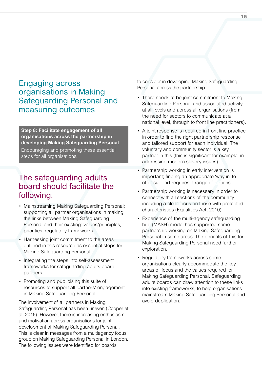### Engaging across organisations in Making Safeguarding Personal and measuring outcomes

**Step 8: Facilitate engagement of all organisations across the partnership in developing Making Safeguarding Personal**

Encouraging and promoting these essential steps for all organisations.

## The safeguarding adults board should facilitate the following:

- Mainstreaming Making Safeguarding Personal; supporting all partner organisations in making the links between Making Safeguarding Personal and their existing: values/principles, priorities, regulatory frameworks.
- Harnessing joint commitment to the areas outlined in this resource as essential steps for Making Safeguarding Personal.
- Integrating the steps into self-assessment frameworks for safeguarding adults board partners.
- Promoting and publicising this suite of resources to support all partners' engagement in Making Safeguarding Personal.

The involvement of all partners in Making Safeguarding Personal has been uneven (Cooper et al, 2016). However, there is increasing enthusiasm and motivation across organisations for joint development of Making Safeguarding Personal. This is clear in messages from a multiagency focus group on Making Safeguarding Personal in London. The following issues were identified for boards

to consider in developing Making Safeguarding Personal across the partnership:

- There needs to be joint commitment to Making Safeguarding Personal and associated activity at all levels and across all organisations (from the need for sectors to communicate at a national level, through to front line practitioners).
- A joint response is required in front line practice in order to find the right partnership response and tailored support for each individual. The voluntary and community sector is a key partner in this (this is significant for example, in addressing modern slavery issues).
- Partnership working in early intervention is important; finding an appropriate 'way in' to offer support requires a range of options.
- Partnership working is necessary in order to connect with all sections of the community, including a clear focus on those with protected characteristics (Equalities Act, 2010).
- Experience of the multi-agency safeguarding hub (MASH) model has supported some partnership working on Making Safeguarding Personal in some areas. The benefits of this for Making Safeguarding Personal need further exploration.
- Regulatory frameworks across some organisations clearly accommodate the key areas of focus and the values required for Making Safeguarding Personal. Safeguarding adults boards can draw attention to these links into existing frameworks, to help organisations mainstream Making Safeguarding Personal and avoid duplication.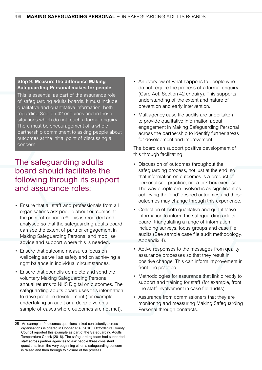#### **Step 9: Measure the difference Making Safeguarding Personal makes for people**

This is essential as part of the assurance role of safeguarding adults boards. It must include qualitative and quantitative information, both regarding Section 42 enquiries and in those situations which do not reach a formal enquiry. There must be encouragement of a whole partnership commitment to asking people about outcomes at the initial point of discussing a concern.

### The safeguarding adults board should facilitate the following through its support and assurance roles:

- Ensure that all staff and professionals from all organisations ask people about outcomes at the point of concern.<sup>25</sup> This is recorded and analysed so that the safeguarding adults board can see the extent of partner engagement in Making Safeguarding Personal and mobilise advice and support where this is needed.
- Ensure that outcome measures focus on wellbeing as well as safety and on achieving a right balance in individual circumstances.
- Ensure that councils complete and send the voluntary Making Safeguarding Personal annual returns to NHS Digital on outcomes. The safeguarding adults board uses this information to drive practice development (for example undertaking an audit or a deep dive on a sample of cases where outcomes are not met).
- An overview of what happens to people who do not require the process of a formal enquiry (Care Act, Section 42 enquiry). This supports understanding of the extent and nature of prevention and early intervention.
- Multiagency case file audits are undertaken to provide qualitative information about engagement in Making Safeguarding Personal across the partnership to identify further areas for development and improvement.

The board can support positive development of this through facilitating:

- Discussion of outcomes throughout the safeguarding process, not just at the end, so that information on outcomes is a product of personalised practice, not a tick box exercise. The way people are involved is as significant as achieving the 'end' desired outcomes and these outcomes may change through this experience.
- Collection of both qualitative and quantitative information to inform the safeguarding adults board, triangulating a range of information including surveys, focus groups and case file audits (See sample case file audit methodology, Appendix 4).
- Active responses to the messages from quality assurance processes so that they result in positive change. This can inform improvement in front line practice.
- Methodologies for assurance that link directly to support and training for staff (for example, front line staff involvement in case file audits).
- Assurance from commissioners that they are monitoring and measuring Making Safeguarding Personal through contracts.

<sup>25</sup> An example of outcomes questions asked consistently across organisations is offered in Cooper et al, 2016): Oxfordshire County Council reported this example as part of the Safeguarding Adults Temperature Check (2016). The safeguarding team had supported staff across partner agencies to ask people three consistent questions, from the very beginning when a safeguarding concern is raised and then through to closure of the process.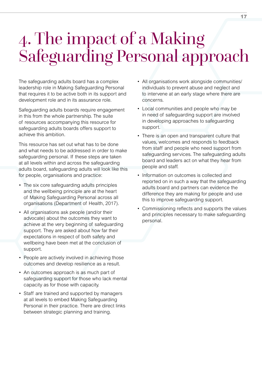## 4. The impact of a Making Safeguarding Personal approach

The safeguarding adults board has a complex leadership role in Making Safeguarding Personal that requires it to be active both in its support and development role and in its assurance role.

Safeguarding adults boards require engagement in this from the whole partnership. The suite of resources accompanying this resource for safeguarding adults boards offers support to achieve this ambition.

This resource has set out what has to be done and what needs to be addressed in order to make safeguarding personal. If these steps are taken at all levels within and across the safeguarding adults board, safeguarding adults will look like this for people, organisations and practice:

- The six core safeguarding adults principles and the wellbeing principle are at the heart of Making Safeguarding Personal across all organisations (Department of Health, 2017).
- All organisations ask people (and/or their advocate) about the outcomes they want to achieve at the very beginning of safeguarding support. They are asked about how far their expectations in respect of both safety and wellbeing have been met at the conclusion of support.
- People are actively involved in achieving those outcomes and develop resilience as a result.
- An outcomes approach is as much part of safeguarding support for those who lack mental capacity as for those with capacity.
- Staff are trained and supported by managers at all levels to embed Making Safeguarding Personal in their practice. There are direct links between strategic planning and training.
- All organisations work alongside communities/ individuals to prevent abuse and neglect and to intervene at an early stage where there are concerns.
- Local communities and people who may be in need of safeguarding support are involved in developing approaches to safeguarding support.
- There is an open and transparent culture that values, welcomes and responds to feedback from staff and people who need support from safeguarding services. The safeguarding adults board and leaders act on what they hear from people and staff.
- Information on outcomes is collected and reported on in such a way that the safeguarding adults board and partners can evidence the difference they are making for people and use this to improve safeguarding support.
- Commissioning reflects and supports the values and principles necessary to make safeguarding personal.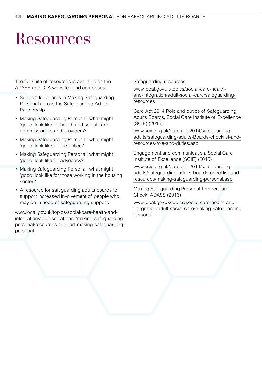## **Resources**

The full suite of resources is available on the ADASS and LGA websites and comprises:

- Support for boards in Making Safeguarding Personal across the Safeguarding Adults **Partnership**
- Making Safeguarding Personal; what might 'good' look like for health and social care commissioners and providers?
- Making Safeguarding Personal; what might 'good' look like for the police?
- Making Safeguarding Personal; what might 'good' look like for advocacy?
- Making Safeguarding Personal; what might 'good' look like for those working in the housing sector?
- A resource for safeguarding adults boards to support increased involvement of people who may be in need of safeguarding support.

[www.local.gov.uk/topics/social-care-health-and](http://www.local.gov.uk/topics/social-care-health-and-integration/adult-social-care/making-safeguarding-personal/resources-support-making-safeguarding-personal)[integration/adult-social-care/making-safeguarding](http://www.local.gov.uk/topics/social-care-health-and-integration/adult-social-care/making-safeguarding-personal/resources-support-making-safeguarding-personal)[personal/resources-support-making-safeguarding](http://www.local.gov.uk/topics/social-care-health-and-integration/adult-social-care/making-safeguarding-personal/resources-support-making-safeguarding-personal)[personal](http://www.local.gov.uk/topics/social-care-health-and-integration/adult-social-care/making-safeguarding-personal/resources-support-making-safeguarding-personal)

Safeguarding resources

[www.local.gov.uk/topics/social-care-health](http://www.local.gov.uk/topics/social-care-health-and-integration/adult-social-care/safeguarding-resources)[and-integration/adult-social-care/safeguarding](http://www.local.gov.uk/topics/social-care-health-and-integration/adult-social-care/safeguarding-resources)[resources](http://www.local.gov.uk/topics/social-care-health-and-integration/adult-social-care/safeguarding-resources)

Care Act 2014 Role and duties of Safeguarding Adults Boards, Social Care Institute of Excellence (SCIE) (2015)

[www.scie.org.uk/care-act-2014/safeguarding](http://www.scie.org.uk/care-act-2014/safeguarding-adults/safeguarding-adults-Boards-checklist-and-resources/role-and-duties.asp)[adults/safeguarding-adults-Boards-checklist-and](http://www.scie.org.uk/care-act-2014/safeguarding-adults/safeguarding-adults-Boards-checklist-and-resources/role-and-duties.asp)[resources/role-and-duties.asp](http://www.scie.org.uk/care-act-2014/safeguarding-adults/safeguarding-adults-Boards-checklist-and-resources/role-and-duties.asp)

Engagement and communication, Social Care Institute of Excellence (SCIE) (2015)

[www.scie.org.uk/care-act-2014/safeguarding](http://www.scie.org.uk/care-act-2014/safeguarding-adults/safeguarding-adults-boards-checklist-and-resources/making-safeguarding-personal.asp)[adults/safeguarding-adults-boards-checklist-and](http://www.scie.org.uk/care-act-2014/safeguarding-adults/safeguarding-adults-boards-checklist-and-resources/making-safeguarding-personal.asp)[resources/making-safeguarding-personal.asp](http://www.scie.org.uk/care-act-2014/safeguarding-adults/safeguarding-adults-boards-checklist-and-resources/making-safeguarding-personal.asp)

Making Safeguarding Personal Temperature Check, ADASS (2016)

[www.local.gov.uk/topics/social-care-health-and](http://www.local.gov.uk/topics/social-care-health-and-integration/adult-social-care/making-safeguarding-personal)[integration/adult-social-care/making-safeguarding](http://www.local.gov.uk/topics/social-care-health-and-integration/adult-social-care/making-safeguarding-personal)[personal](http://www.local.gov.uk/topics/social-care-health-and-integration/adult-social-care/making-safeguarding-personal)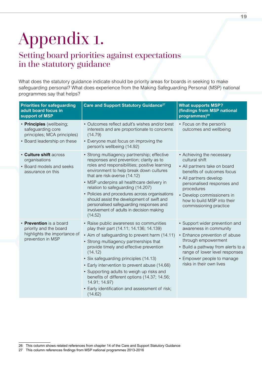# Appendix 1.

## Setting board priorities against expectations in the statutory guidance

What does the statutory guidance indicate should be priority areas for boards in seeking to make safeguarding personal? What does experience from the Making Safeguarding Personal (MSP) national programmes say that helps?

| <b>Priorities for safeguarding</b><br>adult board focus in<br>support of MSP                                | Care and Support Statutory Guidance <sup>27</sup>                                                                                                                                                                                                                                                                                                                                                                                                                                                        | <b>What supports MSP?</b><br>(findings from MSP national<br>programmes) <sup>28</sup>                                                                                                                                                                                  |
|-------------------------------------------------------------------------------------------------------------|----------------------------------------------------------------------------------------------------------------------------------------------------------------------------------------------------------------------------------------------------------------------------------------------------------------------------------------------------------------------------------------------------------------------------------------------------------------------------------------------------------|------------------------------------------------------------------------------------------------------------------------------------------------------------------------------------------------------------------------------------------------------------------------|
| • Principles (wellbeing;<br>safeguarding core<br>principles; MCA principles)<br>• Board leadership on these | • Outcomes reflect adult's wishes and/or best<br>interests and are proportionate to concerns<br>(14.79)<br>• Everyone must focus on improving the<br>person's wellbeing (14.92)                                                                                                                                                                                                                                                                                                                          | • Focus on the person's<br>outcomes and wellbeing                                                                                                                                                                                                                      |
| <b>· Culture shift across</b><br>organisations<br>• Board models and seeks<br>assurance on this             | • Strong multiagency partnership; effective<br>responses and prevention; clarity as to<br>roles and responsibilities; positive learning<br>environment to help break down cultures<br>that are risk-averse (14.12)<br>• MSP underpins all healthcare delivery in<br>relation to safeguarding (14.207)<br>• Policies and procedures across organisations<br>should assist the development of swift and<br>personalised safeguarding responses and<br>involvement of adults in decision making<br>(14.52)  | • Achieving the necessary<br>cultural shift<br>• All partners take on board<br>benefits of outcomes focus<br>• All partners develop<br>personalised responses and<br>procedures<br>• Develop commissioners in<br>how to build MSP into their<br>commissioning practice |
| • Prevention is a board<br>priority and the board<br>highlights the importance of<br>prevention in MSP      | • Raise public awareness so communities<br>play their part (14.11; 14.136; 14.139)<br>• Aim of safeguarding to prevent harm (14.11)<br>• Strong multiagency partnerships that<br>provide timely and effective prevention<br>(14.12)<br>• Six safeguarding principles (14.13)<br>• Early intervention to prevent abuse (14.66)<br>• Supporting adults to weigh up risks and<br>benefits of different options (14.37; 14.56;<br>14.91; 14.97)<br>• Early identification and assessment of risk;<br>(14.62) | • Support wider prevention and<br>awareness in community<br>• Enhance prevention of abuse<br>through empowerment<br>• Build a pathway from alerts to a<br>range of lower level responses<br>• Empower people to manage<br>risks in their own lives                     |

<sup>26</sup> This column shows related references from chapter 14 of the Care and Support Statutory Guidance

<sup>27</sup> This column references findings from MSP national programmes 2013-2016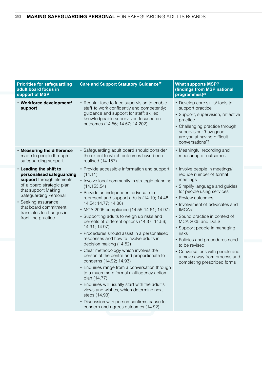| <b>Priorities for safeguarding</b><br>adult board focus in<br>support of MSP                                                                                                                                                                                    | Care and Support Statutory Guidance <sup>27</sup>                                                                                                                                                                                                                                                                                                                                                                                                                                                                                                                                                                                                                                                                                                                                                                                                                                                                                                            | <b>What supports MSP?</b><br>(findings from MSP national<br>programmes) <sup>28</sup>                                                                                                                                                                                                                                                                                                                                                                           |
|-----------------------------------------------------------------------------------------------------------------------------------------------------------------------------------------------------------------------------------------------------------------|--------------------------------------------------------------------------------------------------------------------------------------------------------------------------------------------------------------------------------------------------------------------------------------------------------------------------------------------------------------------------------------------------------------------------------------------------------------------------------------------------------------------------------------------------------------------------------------------------------------------------------------------------------------------------------------------------------------------------------------------------------------------------------------------------------------------------------------------------------------------------------------------------------------------------------------------------------------|-----------------------------------------------------------------------------------------------------------------------------------------------------------------------------------------------------------------------------------------------------------------------------------------------------------------------------------------------------------------------------------------------------------------------------------------------------------------|
| · Workforce development/<br>support                                                                                                                                                                                                                             | • Regular face to face supervision to enable<br>staff to work confidently and competently;<br>guidance and support for staff; skilled<br>knowledgeable supervision focused on<br>outcomes (14.56; 14.57; 14.202)                                                                                                                                                                                                                                                                                                                                                                                                                                                                                                                                                                                                                                                                                                                                             | • Develop core skills/ tools to<br>support practice<br>• Support, supervision, reflective<br>practice<br>• Challenging practice through<br>supervision: 'how good<br>are you at having difficult<br>conversations'?                                                                                                                                                                                                                                             |
| . Measuring the difference<br>made to people through<br>safeguarding support                                                                                                                                                                                    | • Safeguarding adult board should consider<br>the extent to which outcomes have been<br>realised (14.157)                                                                                                                                                                                                                                                                                                                                                                                                                                                                                                                                                                                                                                                                                                                                                                                                                                                    | • Meaningful recording and<br>measuring of outcomes                                                                                                                                                                                                                                                                                                                                                                                                             |
| • Leading the shift to<br>personalised safeguarding<br>support through elements<br>of a board strategic plan<br>that support Making<br>Safeguarding Personal<br>• Seeking assurance<br>that board commitment<br>translates to changes in<br>front line practice | • Provide accessible information and support<br>(14.11)<br>• Involve local community in strategic planning<br>(14.153.54)<br>• Provide an independent advocate to<br>represent and support adults (14.10; 14.48;<br>14.54; 14.77; 14.80)<br>• MCA 2005 compliance (14.55-14.61; 14.97)<br>• Supporting adults to weigh up risks and<br>benefits of different options (14.37; 14.56;<br>14.91; 14.97)<br>• Procedures should assist in a personalised<br>responses and how to involve adults in<br>decision making (14.52)<br>• Clear methodology which involves the<br>person at the centre and proportionate to<br>concerns (14.92; 14.93)<br>• Enquiries range from a conversation through<br>to a much more formal multiagency action<br>plan (14.77)<br>• Enquiries will usually start with the adult's<br>views and wishes, which determine next<br>steps (14.93)<br>• Discussion with person confirms cause for<br>concern and agrees outcomes (14.92) | • Involve people in meetings/<br>reduce number of formal<br>meetings<br>• Simplify language and guides<br>for people using services<br>• Review outcomes<br>• Involvement of advocates and<br><b>IMCAs</b><br>• Sound practice in context of<br>MCA 2005 and DoLS<br>• Support people in managing<br>risks<br>• Policies and procedures need<br>to be revised<br>• Conversations with people and<br>a move away from process and<br>completing prescribed forms |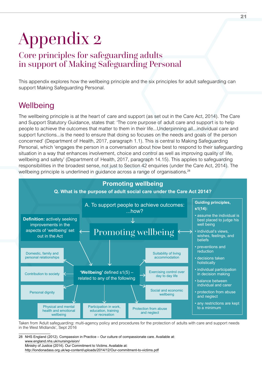## Appendix 2

## Core principles for safeguarding adults in support of Making Safeguarding Personal

This appendix explores how the wellbeing principle and the six principles for adult safeguarding can support Making Safeguarding Personal.

## **Wellbeing**

The wellbeing principle is at the heart of care and support (as set out in the Care Act, 2014). The Care and Support Statutory Guidance, states that: 'The core purpose of adult care and support is to help people to achieve the outcomes that matter to them in their life...Underpinning all...individual care and support functions...is the need to ensure that doing so focuses on the needs and goals of the person concerned' (Department of Health, 2017, paragraph 1.1). This is central to Making Safeguarding Personal, which 'engages the person in a conversation about how best to respond to their safeguarding situation in a way that enhances involvement, choice and control as well as improving quality of life, wellbeing and safety' (Department of Health, 2017, paragraph 14.15). This applies to safeguarding responsibilities in the broadest sense, not just to Section 42 enquiries (under the Care Act, 2014). The wellbeing principle is underlined in guidance across a range of organisations.<sup>28</sup>



Taken from 'Adult safeguarding: multi-agency policy and procedures for the protection of adults with care and support needs in the West Midlands', Sept 2016

28 NHS England (2012). Compassion in Practice – Our culture of compassionate care. Available at: [www.england.nhs.uk/nursingvision/](http://www.england.nhs.uk/nursingvision/) Ministry of Justice (2014). Our Commitment to Victims. Available at: <http://londonadass.org.uk/wp-content/uploads/2014/12/Our-commitment-to-victims.pdf>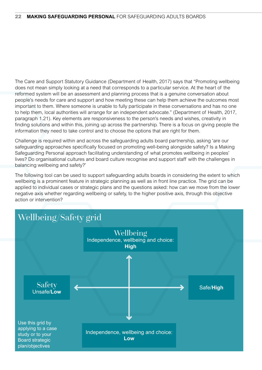The Care and Support Statutory Guidance (Department of Health, 2017) says that "Promoting wellbeing does not mean simply looking at a need that corresponds to a particular service. At the heart of the reformed system will be an assessment and planning process that is a genuine conversation about people's needs for care and support and how meeting these can help them achieve the outcomes most important to them. Where someone is unable to fully participate in these conversations and has no one to help them, local authorities will arrange for an independent advocate." (Department of Health, 2017, paragraph 1.21). Key elements are responsiveness to the person's needs and wishes, creativity in finding solutions and within this, joining up across the partnership. There is a focus on giving people the information they need to take control and to choose the options that are right for them.

Challenge is required within and across the safeguarding adults board partnership, asking 'are our safeguarding approaches specifically focused on promoting well-being alongside safety? Is a Making Safeguarding Personal approach facilitating understanding of what promotes wellbeing in peoples' lives? Do organisational cultures and board culture recognise and support staff with the challenges in balancing wellbeing and safety?'

The following tool can be used to support safeguarding adults boards in considering the extent to which wellbeing is a prominent feature in strategic planning as well as in front line practice. The grid can be applied to individual cases or strategic plans and the questions asked: how can we move from the lower negative axis whether regarding wellbeing or safety, to the higher positive axis, through this objective action or intervention?

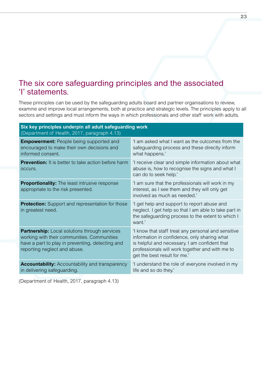### The six core safeguarding principles and the associated 'I' statements.

These principles can be used by the safeguarding adults board and partner organisations to review, examine and improve local arrangements, both at practice and strategic levels. The principles apply to all sectors and settings and must inform the ways in which professionals and other staff work with adults.

| Six key principles underpin all adult safeguarding work<br>(Department of Health, 2017, paragraph 4.13)                                                                                 |                                                                                                                                                                                                                                         |  |  |  |
|-----------------------------------------------------------------------------------------------------------------------------------------------------------------------------------------|-----------------------------------------------------------------------------------------------------------------------------------------------------------------------------------------------------------------------------------------|--|--|--|
| <b>Empowerment:</b> People being supported and<br>encouraged to make their own decisions and<br>informed consent.                                                                       | 'I am asked what I want as the outcomes from the<br>safeguarding process and these directly inform<br>what happens.'                                                                                                                    |  |  |  |
| <b>Prevention:</b> It is better to take action before harm<br>occurs.                                                                                                                   | 'I receive clear and simple information about what<br>abuse is, how to recognise the signs and what I<br>can do to seek help.'                                                                                                          |  |  |  |
| <b>Proportionality:</b> The least intrusive response<br>appropriate to the risk presented.                                                                                              | 'I am sure that the professionals will work in my<br>interest, as I see them and they will only get<br>involved as much as needed.'                                                                                                     |  |  |  |
| <b>Protection:</b> Support and representation for those<br>in greatest need.                                                                                                            | 'I get help and support to report abuse and<br>neglect. I get help so that I am able to take part in<br>the safeguarding process to the extent to which I<br>want.'                                                                     |  |  |  |
| <b>Partnership:</b> Local solutions through services<br>working with their communities. Communities<br>have a part to play in preventing, detecting and<br>reporting neglect and abuse. | 'I know that staff treat any personal and sensitive<br>information in confidence, only sharing what<br>is helpful and necessary. I am confident that<br>professionals will work together and with me to<br>get the best result for me.' |  |  |  |
| <b>Accountability:</b> Accountability and transparency<br>in delivering safeguarding.                                                                                                   | 'I understand the role of everyone involved in my<br>life and so do they.'                                                                                                                                                              |  |  |  |
|                                                                                                                                                                                         |                                                                                                                                                                                                                                         |  |  |  |

(Department of Health, 2017, paragraph 4.13)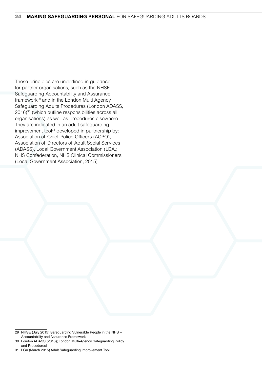These principles are underlined in guidance for partner organisations, such as the NHSE Safeguarding Accountability and Assurance framework<sup>29</sup> and in the London Multi Agency Safeguarding Adults Procedures (London ADASS, 2016)30 (which outline responsibilities across all organisations) as well as procedures elsewhere. They are indicated in an adult safeguarding improvement tool<sup>31</sup> developed in partnership by: Association of Chief Police Officers (ACPO), Association of Directors of Adult Social Services (ADASS), Local Government Association (LGA,; NHS Confederation, NHS Clinical Commissioners. (Local Government Association, 2015)

<sup>29</sup> NHSE (July 2015) Safeguarding Vulnerable People in the NHS – Accountability and Assurance Framework

<sup>30</sup> London ADASS (2016); London Multi-Agency Safeguarding Policy and Proceduresi

<sup>31</sup> LGA (March 2015) Adult Safeguarding Improvement Tool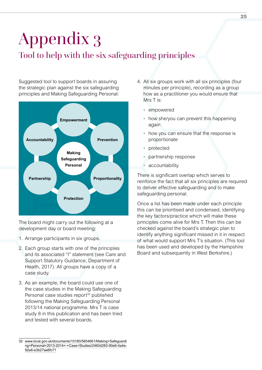## Appendix 3 Tool to help with the six safeguarding principles

Suggested tool to support boards in assuring the strategic plan against the six safeguarding principles and Making Safeguarding Personal:



The board might carry out the following at a development day or board meeting:

- 1. Arrange participants in six groups.
- 2. Each group starts with one of the principles and its associated "I" statement (see Care and Support Statutory Guidance, Department of Health, 2017). All groups have a copy of a case study.
- 3. As an example, the board could use one of the case studies in the Making Safeguarding Personal case studies report<sup>32</sup> published following the Making Safeguarding Personal 2013/14 national programme. Mrs T is case study 8 in this publication and has been tried and tested with several boards.
- 4. All six groups work with all six principles (four minutes per principle), recording as a group how as a practitioner you would ensure that Mrs T is:
	- empowered
	- how she/you can prevent this happening again
	- how you can ensure that the response is proportionate
	- protected
	- partnership response
	- accountability.

There is significant overlap which serves to reinforce the fact that all six principles are required to deliver effective safeguarding and to make safeguarding personal.

Once a list has been made under each principle this can be prioritised and condensed, identifying the key factors/practice which will make these principles come alive for Mrs T. Then this can be checked against the board's strategic plan to identify anything significant missed in it in respect of what would support Mrs T's situation. (This tool has been used and developed by the Hampshire Board and subsequently in West Berkshire.)

<sup>32</sup> [www.local.gov.uk/documents/10180/5854661/Making+Safeguardi](http://www.local.gov.uk/documents/10180/5854661/Making+Safeguarding+Personal+2013-2014+-+Case+Studies/2460d283-90e6-4a4e-92e6-e3b27ae6fc71) [ng+Personal+2013-2014+-+Case+Studies/2460d283-90e6-4a4e-](http://www.local.gov.uk/documents/10180/5854661/Making+Safeguarding+Personal+2013-2014+-+Case+Studies/2460d283-90e6-4a4e-92e6-e3b27ae6fc71)[92e6-e3b27ae6fc71](http://www.local.gov.uk/documents/10180/5854661/Making+Safeguarding+Personal+2013-2014+-+Case+Studies/2460d283-90e6-4a4e-92e6-e3b27ae6fc71)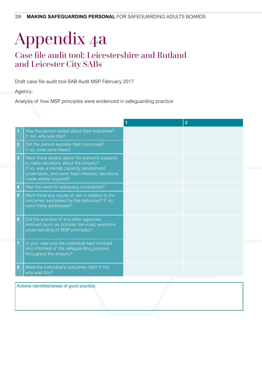## Appendix 4a

## Case file audit tool: Leicestershire and Rutland and Leicester City SABs

Draft case file audit tool-SAB Audit MSP February 2017

Agency:

Analysis of how MSP principles were evidenced in safeguarding practice

|                |                                                                                                                                                                                                             | $\overline{2}$ |
|----------------|-------------------------------------------------------------------------------------------------------------------------------------------------------------------------------------------------------------|----------------|
|                | Was the person asked about their outcomes?<br>If not, why was this?                                                                                                                                         |                |
| $\overline{2}$ | Did the person express their outcomes?<br>If so, what were these?                                                                                                                                           |                |
| 3              | Were there doubts about the person's capacity<br>to make decisions about the enquiry?<br>If so, was a mental capacity assessment<br>undertaken, and were 'best interests' decisions<br>made where required? |                |
| 4              | Was the need for advocacy considered?                                                                                                                                                                       |                |
| 5              | Were there any issues of risk in relation to the<br>outcomes expressed by the individual? If so,<br>were these addressed?                                                                                   |                |
| 6              | Did the practice of any other agencies<br>involved (such as provider services) evidence<br>understanding of MSP principles?                                                                                 |                |
| 7              | In your view was the individual kept involved<br>and informed of the safeguarding process<br>throughout the enquiry?                                                                                        |                |
| 8              | Were the individual's outcomes met? If not,<br>why was this?                                                                                                                                                |                |
|                |                                                                                                                                                                                                             |                |

Actions identified/areas of good practice.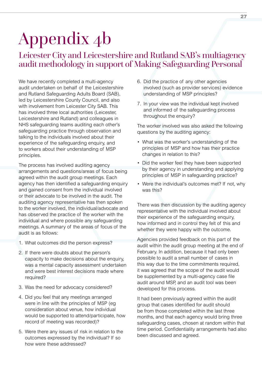## Appendix 4b

## Leicester City and Leicestershire and Rutland SAB's multiagency audit methodology in support of Making Safeguarding Personal

We have recently completed a multi-agency audit undertaken on behalf of the Leicestershire and Rutland Safeguarding Adults Board (SAB), led by Leicestershire County Council, and also with involvement from Leicester City SAB. This has involved three local authorities (Leicester, Leicestershire and Rutland) and colleagues in NHS safeguarding teams auditing each other's safeguarding practice through observation and talking to the individuals involved about their experience of the safeguarding enquiry, and to workers about their understanding of MSP principles.

The process has involved auditing agency arrangements and questions/areas of focus being agreed within the audit group meetings. Each agency has then identified a safeguarding enquiry and gained consent from the individual involved or their advocate to be involved in the audit. The auditing agency representative has then spoken to the worker involved, the individual/advocate and has observed the practice of the worker with the individual and where possible any safeguarding meetings. A summary of the areas of focus of the audit is as follows:

- 1. What outcomes did the person express?
- 2. If there were doubts about the person's capacity to make decisions about the enquiry, was a mental capacity assessment undertaken and were best interest decisions made where required?
- 3. Was the need for advocacy considered?
- 4. Did you feel that any meetings arranged were in line with the principles of MSP (eg consideration about venue, how individual would be supported to attend/participate, how record of meeting was recorded)?
- 5. Were there any issues of risk in relation to the outcomes expressed by the individual? If so how were these addressed?
- 6. Did the practice of any other agencies involved (such as provider services) evidence understanding of MSP principles?
- 7. In your view was the individual kept involved and informed of the safeguarding process throughout the enquiry?

The worker involved was also asked the following questions by the auditing agency:

- What was the worker's understanding of the principles of MSP and how has their practice changes in relation to this?
- Did the worker feel they have been supported by their agency in understanding and applying principles of MSP in safeguarding practice?
- Were the individual's outcomes met? If not, why was this?

There was then discussion by the auditing agency representative with the individual involved about their experience of the safeguarding enquiry, how informed and in control they felt of this and whether they were happy with the outcome.

Agencies provided feedback on this part of the audit within the audit group meeting at the end of February. In addition, because it had only been possible to audit a small number of cases in this way due to the time commitments required, it was agreed that the scope of the audit would be supplemented by a multi-agency case file audit around MSP, and an audit tool was been developed for this process.

It had been previously agreed within the audit group that cases identified for audit should be from those completed within the last three months, and that each agency would bring three safeguarding cases, chosen at random within that time period. Confidentiality arrangements had also been discussed and agreed.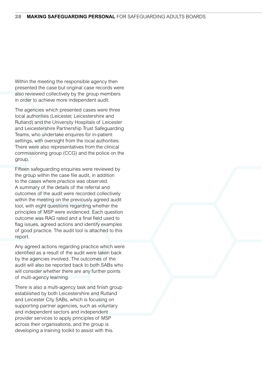Within the meeting the responsible agency then presented the case but original case records were also reviewed collectively by the group members in order to achieve more independent audit.

The agencies which presented cases were three local authorities (Leicester, Leicestershire and Rutland) and the University Hospitals of Leicester and Leicestershire Partnership Trust Safeguarding Teams, who undertake enquires for in-patient settings, with oversight from the local authorities. There were also representatives from the clinical commissioning group (CCG) and the police on the group.

Fifteen safeguarding enquiries were reviewed by the group within the case file audit, in addition to the cases where practice was observed. A summary of the details of the referral and outcomes of the audit were recorded collectively within the meeting on the previously agreed audit tool, with eight questions regarding whether the principles of MSP were evidenced. Each question outcome was RAG rated and a final field used to flag issues, agreed actions and identify examples of good practice. The audit tool is attached to this report.

Any agreed actions regarding practice which were identified as a result of the audit were taken back by the agencies involved. The outcomes of the audit will also be reported back to both SABs who will consider whether there are any further points of multi-agency learning.

There is also a multi-agency task and finish group established by both Leicestershire and Rutland and Leicester City SABs, which is focusing on supporting partner agencies, such as voluntary and independent sectors and independent provider services to apply principles of MSP across their organisations, and the group is developing a training toolkit to assist with this.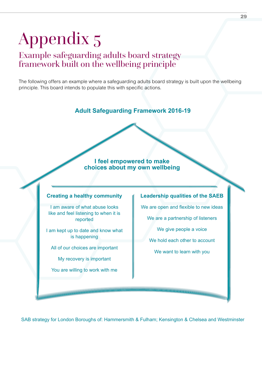# Appendix 5

## Example safeguarding adults board strategy framework built on the wellbeing principle

The following offers an example where a safeguarding adults board strategy is built upon the wellbeing principle. This board intends to populate this with specific actions.

**Adult Safeguarding Framework 2016-19**

#### **I feel empowered to make choices about my own wellbeing**

#### **Creating a healthy community**

I am aware of what abuse looks like and feel listening to when it is reported

I am kept up to date and know what is happening

All of our choices are important

My recovery is important

You are willing to work with me

#### **Leadership qualities of the SAEB**

We are open and flexible to new ideas

We are a partnership of listeners

We give people a voice

We hold each other to account

We want to learn with you

SAB strategy for London Boroughs of: Hammersmith & Fulham; Kensington & Chelsea and Westminster